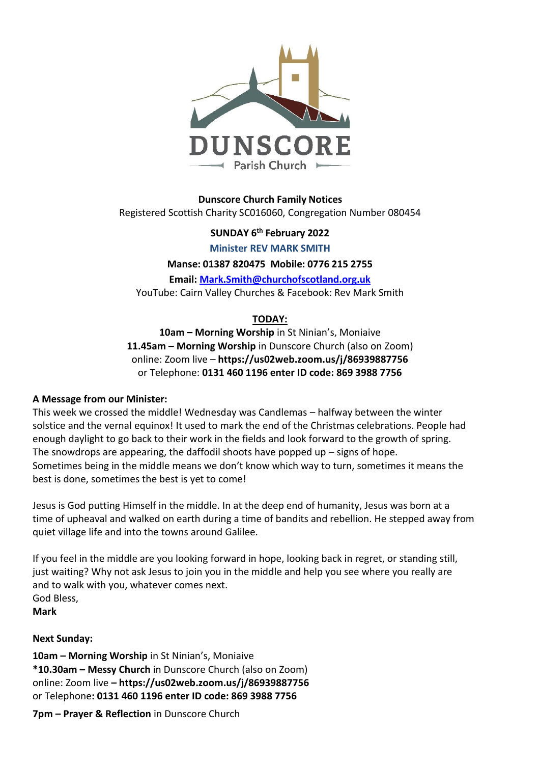

**Dunscore Church Family Notices** Registered Scottish Charity SC016060, Congregation Number 080454

**SUNDAY 6 th February 2022**

**Minister REV MARK SMITH**

**Manse: 01387 820475 Mobile: 0776 215 2755**

**Email: [Mark.Smith@churchofscotland.org.uk](mailto:Mark.Smith@churchofscotland.org.uk)** YouTube: Cairn Valley Churches & Facebook: Rev Mark Smith

# **TODAY:**

**10am – Morning Worship** in St Ninian's, Moniaive **11.45am – Morning Worship** in Dunscore Church (also on Zoom) online: Zoom live – **https://us02web.zoom.us/j/86939887756** or Telephone: **0131 460 1196 enter ID code: 869 3988 7756**

#### **A Message from our Minister:**

This week we crossed the middle! Wednesday was Candlemas – halfway between the winter solstice and the vernal equinox! It used to mark the end of the Christmas celebrations. People had enough daylight to go back to their work in the fields and look forward to the growth of spring. The snowdrops are appearing, the daffodil shoots have popped up  $-$  signs of hope. Sometimes being in the middle means we don't know which way to turn, sometimes it means the best is done, sometimes the best is yet to come!

Jesus is God putting Himself in the middle. In at the deep end of humanity, Jesus was born at a time of upheaval and walked on earth during a time of bandits and rebellion. He stepped away from quiet village life and into the towns around Galilee.

If you feel in the middle are you looking forward in hope, looking back in regret, or standing still, just waiting? Why not ask Jesus to join you in the middle and help you see where you really are and to walk with you, whatever comes next. God Bless, **Mark**

**Next Sunday:**

**10am – Morning Worship** in St Ninian's, Moniaive **\*10.30am – Messy Church** in Dunscore Church (also on Zoom) online: Zoom live **– https://us02web.zoom.us/j/86939887756** or Telephone**: 0131 460 1196 enter ID code: 869 3988 7756**

**7pm – Prayer & Reflection** in Dunscore Church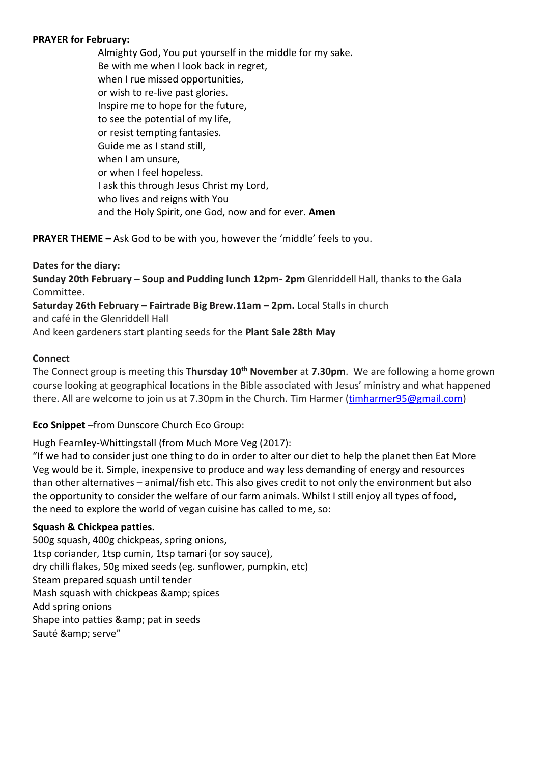#### **PRAYER for February:**

Almighty God, You put yourself in the middle for my sake. Be with me when I look back in regret, when I rue missed opportunities, or wish to re-live past glories. Inspire me to hope for the future, to see the potential of my life, or resist tempting fantasies. Guide me as I stand still, when I am unsure, or when I feel hopeless. I ask this through Jesus Christ my Lord, who lives and reigns with You and the Holy Spirit, one God, now and for ever. **Amen**

**PRAYER THEME –** Ask God to be with you, however the 'middle' feels to you.

#### **Dates for the diary:**

**Sunday 20th February – Soup and Pudding lunch 12pm- 2pm** Glenriddell Hall, thanks to the Gala Committee.

**Saturday 26th February – Fairtrade Big Brew.11am – 2pm.** Local Stalls in church

and café in the Glenriddell Hall

And keen gardeners start planting seeds for the **Plant Sale 28th May**

### **Connect**

The Connect group is meeting this **Thursday 10th November** at **7.30pm**. We are following a home grown course looking at geographical locations in the Bible associated with Jesus' ministry and what happened there. All are welcome to join us at 7.30pm in the Church. Tim Harmer [\(timharmer95@gmail.com\)](mailto:timharmer95@gmail.com)

# **Eco Snippet** –from Dunscore Church Eco Group:

Hugh Fearnley-Whittingstall (from Much More Veg (2017):

"If we had to consider just one thing to do in order to alter our diet to help the planet then Eat More Veg would be it. Simple, inexpensive to produce and way less demanding of energy and resources than other alternatives – animal/fish etc. This also gives credit to not only the environment but also the opportunity to consider the welfare of our farm animals. Whilst I still enjoy all types of food, the need to explore the world of vegan cuisine has called to me, so:

# **Squash & Chickpea patties.**

500g squash, 400g chickpeas, spring onions, 1tsp coriander, 1tsp cumin, 1tsp tamari (or soy sauce), dry chilli flakes, 50g mixed seeds (eg. sunflower, pumpkin, etc) Steam prepared squash until tender Mash squash with chickpeas & amp; spices Add spring onions Shape into patties & amp; pat in seeds Sauté & amp; serve"